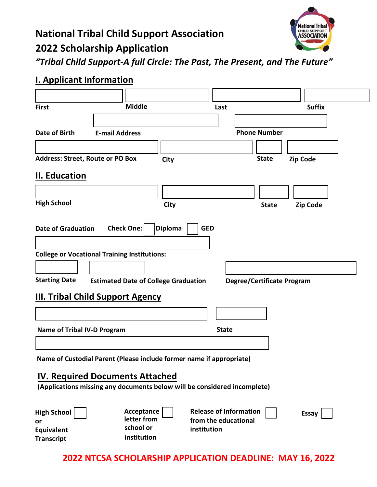## **National Tribal Child Support Association 2022 Scholarship Application**



*"Tribal Child Support-A full Circle: The Past, The Present, and The Future"*

## **I. Applicant Information**

| <b>Middle</b><br><b>Suffix</b><br><b>First</b><br>Last<br><b>Phone Number</b><br>Date of Birth<br><b>E-mail Address</b><br><b>Address: Street, Route or PO Box</b><br><b>State</b><br><b>Zip Code</b><br>City<br>II. Education<br><b>High School</b><br><b>City</b><br><b>Zip Code</b><br><b>State</b><br>Check One:<br><b>GED</b><br><b>Diploma</b><br><b>Date of Graduation</b><br><b>College or Vocational Training Institutions:</b><br><b>Starting Date</b><br><b>Estimated Date of College Graduation</b><br><b>Degree/Certificate Program</b><br><b>III. Tribal Child Support Agency</b><br><b>State</b><br><b>Name of Tribal IV-D Program</b><br>Name of Custodial Parent (Please include former name if appropriate) |
|-------------------------------------------------------------------------------------------------------------------------------------------------------------------------------------------------------------------------------------------------------------------------------------------------------------------------------------------------------------------------------------------------------------------------------------------------------------------------------------------------------------------------------------------------------------------------------------------------------------------------------------------------------------------------------------------------------------------------------|
|                                                                                                                                                                                                                                                                                                                                                                                                                                                                                                                                                                                                                                                                                                                               |
|                                                                                                                                                                                                                                                                                                                                                                                                                                                                                                                                                                                                                                                                                                                               |
|                                                                                                                                                                                                                                                                                                                                                                                                                                                                                                                                                                                                                                                                                                                               |
|                                                                                                                                                                                                                                                                                                                                                                                                                                                                                                                                                                                                                                                                                                                               |
|                                                                                                                                                                                                                                                                                                                                                                                                                                                                                                                                                                                                                                                                                                                               |
|                                                                                                                                                                                                                                                                                                                                                                                                                                                                                                                                                                                                                                                                                                                               |
|                                                                                                                                                                                                                                                                                                                                                                                                                                                                                                                                                                                                                                                                                                                               |
|                                                                                                                                                                                                                                                                                                                                                                                                                                                                                                                                                                                                                                                                                                                               |
|                                                                                                                                                                                                                                                                                                                                                                                                                                                                                                                                                                                                                                                                                                                               |
|                                                                                                                                                                                                                                                                                                                                                                                                                                                                                                                                                                                                                                                                                                                               |
|                                                                                                                                                                                                                                                                                                                                                                                                                                                                                                                                                                                                                                                                                                                               |
|                                                                                                                                                                                                                                                                                                                                                                                                                                                                                                                                                                                                                                                                                                                               |
|                                                                                                                                                                                                                                                                                                                                                                                                                                                                                                                                                                                                                                                                                                                               |
|                                                                                                                                                                                                                                                                                                                                                                                                                                                                                                                                                                                                                                                                                                                               |
|                                                                                                                                                                                                                                                                                                                                                                                                                                                                                                                                                                                                                                                                                                                               |
|                                                                                                                                                                                                                                                                                                                                                                                                                                                                                                                                                                                                                                                                                                                               |
|                                                                                                                                                                                                                                                                                                                                                                                                                                                                                                                                                                                                                                                                                                                               |
|                                                                                                                                                                                                                                                                                                                                                                                                                                                                                                                                                                                                                                                                                                                               |
|                                                                                                                                                                                                                                                                                                                                                                                                                                                                                                                                                                                                                                                                                                                               |
|                                                                                                                                                                                                                                                                                                                                                                                                                                                                                                                                                                                                                                                                                                                               |
|                                                                                                                                                                                                                                                                                                                                                                                                                                                                                                                                                                                                                                                                                                                               |
|                                                                                                                                                                                                                                                                                                                                                                                                                                                                                                                                                                                                                                                                                                                               |
|                                                                                                                                                                                                                                                                                                                                                                                                                                                                                                                                                                                                                                                                                                                               |
| <b>IV. Required Documents Attached</b>                                                                                                                                                                                                                                                                                                                                                                                                                                                                                                                                                                                                                                                                                        |
| (Applications missing any documents below will be considered incomplete)                                                                                                                                                                                                                                                                                                                                                                                                                                                                                                                                                                                                                                                      |
|                                                                                                                                                                                                                                                                                                                                                                                                                                                                                                                                                                                                                                                                                                                               |
| Acceptance<br><b>Release of Information</b><br><b>High School</b><br><b>Essay</b>                                                                                                                                                                                                                                                                                                                                                                                                                                                                                                                                                                                                                                             |
| letter from<br>from the educational<br>or<br>school or                                                                                                                                                                                                                                                                                                                                                                                                                                                                                                                                                                                                                                                                        |
| institution<br>Equivalent<br>institution<br><b>Transcript</b>                                                                                                                                                                                                                                                                                                                                                                                                                                                                                                                                                                                                                                                                 |